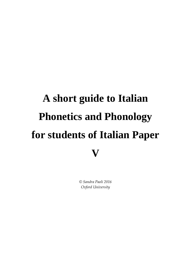# **A short guide to Italian Phonetics and Phonology for students of Italian Paper V**

*© Sandra Paoli 2016 Oxford University*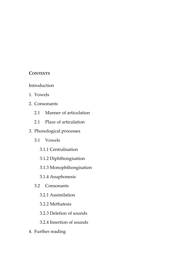### **CONTENTS**

- Introduction
- 1. Vowels
- 2. Consonants
	- 2.1 Manner of articulation
	- 2.1 Place of articulation
- 3. Phonological processes
	- 3.1 Vowels
		- 3.1.1 Centralisation
		- 3.1.2 Diphthongisation
		- 3.1.3 Monophthongisation
		- 3.1.4 Anaphonesis
	- 3.2 Consonants
		- 3.2.1 Assimilation
		- 3.2.2 Methatesis
		- 3.2.3 Deletion of sounds
		- 3.2.4 Insertion of sounds
- 4. Further reading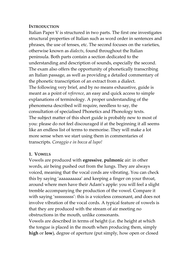## **INTRODUCTION**

Italian Paper V is structured in two parts. The first one investigates structural properties of Italian such as word order in sentences and phrases, the use of tenses, etc. The second focuses on the varieties, otherwise known as *dialects*, found throughout the Italian peninsula. Both parts contain a section dedicated to the understanding and description of sounds, especially the second. The exam also offers the opportunity of phonetically transcribing an Italian passage, as well as providing a detailed commentary of the phonetic transcription of an extract from a dialect. The following very brief, and by no means exhaustive, guide is meant as a point of *reference*, an easy and quick access to simple explanations of terminology. A proper understanding of the phenomena described will require, needless to say, the consultation of specialised Phonetics and Phonology texts. The subject matter of this short guide is probably new to most of you: please do not feel discouraged if at the beginning it all seems like an endless list of terms to memorise. They will make a lot more sense when we start using them in commentaries of transcripts. *Coraggio e in bocca al lupo!*

### **1. VOWELS**

Vowels are produced with **egressive**, **pulmonic** air: in other words, air being pushed out from the lungs. They are always voiced, meaning that the vocal cords are vibrating. You can check this by saying 'aaaaaaaaaa' and keeping a finger on your throat, around where men have their Adam's apple: you will feel a slight tremble accompanying the production of the vowel. Compare it with saying 'ssssssssss': this is a voiceless consonant, and does not involve vibration of the vocal cords. A typical feature of vowels is that they are produced with the stream of air meeting no obstructions in the mouth, unlike consonants.

Vowels are described in terms of height (i.e. the height at which the tongue is placed in the mouth when producing them, simply **high** or **low**), degree of aperture (put simply, how open or closed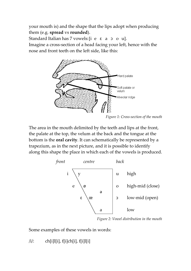your mouth is) and the shape that the lips adopt when producing them (e.g. **spread** vs **rounded**).

Standard Italian has 7 vowels:[i e ɛ a ɔ o u].

Imagine a cross-section of a head facing your left, hence with the nose and front teeth on the left side, like this:



*Figure 1: Cross-section of the mouth*

The area in the mouth delimited by the teeth and lips at the front, the palate at the top, the velum at the back and the tongue at the bottom is the **oral cavity**. It can schematically be represented by a trapezium, as in the next picture, and it is possible to identify along this shape the place in which each of the vowels is produced.



*Figure 2: Vowel distribution in the mouth*

Some examples of these vowels in words:

 $/i$ : ch[i]l[i], f[i]ch[i], f[i]l[i]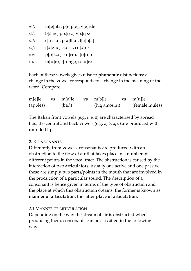| $/e$ :  | m[e]nta, p[e]p[e], v[e]rde    |
|---------|-------------------------------|
| /ε/:    | b[ε]ne, p[ε]sca, v[ε]spe      |
| $/a$ :  | c[a]s[a], p[a]ll[a], l[a]n[a] |
| /ɔ/:    | f[ɔ]glio, c[ɔ]sa, cu[ɔ]re     |
| $ 0 $ : | p[o]zzo, c[o]rro, f[o]rno     |
| $/u$ :  | m[u]ro, f[u]ngo, sc[u]ro      |

Each of these vowels gives raise to **phonemic** distinctions: a change in the vowel corresponds to a change in the meaning of the word. Compare:

| m[e]le   | vs m[a]le | vs m[ɔ]le    | vs m[u]le      |
|----------|-----------|--------------|----------------|
| (apples) | (bad)     | (big amount) | (female mules) |

The Italian front vowels (e.g. i, e, ɛ) are characterised by spread lips; the central and back vowels (e.g. a, ɔ, o, u) are produced with rounded lips.

# **2. CONSONANTS**

Differently from vowels, consonants are produced with an obstruction to the flow of air that takes place in a number of different points in the vocal tract. The obstruction is caused by the interaction of two **articulators**, usually one active and one passive: these are simply two parts/points in the mouth that are involved in the production of a particular sound. The description of a consonant is hence given in terms of the type of obstruction and the place at which this obstruction obtains: the former is known as **manner of articulation**, the latter **place of articulation**.

# 2.1 MANNER OF ARTICULATION

Depending on the way the stream of air is obstructed when producing them, consonants can be classified in the following way: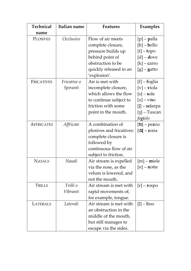| <b>Technical</b>  | Italian name            | <b>Features</b>                                                                                                                                | Examples                                                                                                                |
|-------------------|-------------------------|------------------------------------------------------------------------------------------------------------------------------------------------|-------------------------------------------------------------------------------------------------------------------------|
| name              |                         |                                                                                                                                                |                                                                                                                         |
| <b>PLOSIVES</b>   | Occlusive               | Flow of air meets<br>complete closure,<br>pressure builds up<br>behind point of<br>obstruction to be<br>quickly released in an<br>'explosion'. | $[p]$ – palla<br>$[b]$ – bello<br>$[t]$ – topo<br>$[d]$ – dove<br>$[k]$ – carro<br>$[g]$ – gatto                        |
| FRICATIVES        | Fricative o<br>Spiranti | Air is met with<br>incomplete closure,<br>which allows the flow<br>to continue subject to<br>friction with some<br>point in the mouth.         | $[f]$ – foglia<br>$[v]$ – viola<br>$[s]$ – sole<br>$[z]$ – viso<br>$[] - sciarpa$<br>$[3]$ – Tuscan<br>fa <b>gi</b> olo |
| <b>AFFRICATES</b> | Affricate               | A combination of<br>plosives and fricatives:<br>complete closure is<br>followed by<br>continuous flow of air<br>subject to friction.           | $[ts]$ – pezzo<br>$\frac{d\mathbf{x}}{dt}$ – zona                                                                       |
| <b>NASALS</b>     | Nasali                  | Air stream is expelled<br>via the nose, as the<br>velum is lowered, and<br>not the mouth.                                                      | $[m]$ – miele<br>$[n]$ – notte                                                                                          |
| TRILLS            | Trilli o<br>Vibranti    | Air stream is met with<br>rapid movements of,<br>for example, tongue.                                                                          | $[r]$ – rospo                                                                                                           |
| LATERALS          | Laterali                | Air stream is met with<br>an obstruction in the<br>middle of the mouth,<br>but still manages to<br>escape via the sides.                       | $[1]$ – $\lim$                                                                                                          |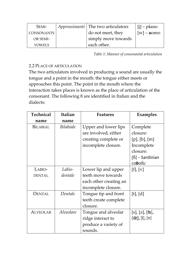| SEMI-         | <i>Approssimanti</i>   The two articulators | $[i]$ – piano |
|---------------|---------------------------------------------|---------------|
| CONSONANTS    | do not meet, they                           | $[w]$ – uomo  |
| OR SEMI-      | simply move towards                         |               |
| <b>VOWELS</b> | each other.                                 |               |

*Table 1: Manner of consonantal articulation*

# 2.2 PLACE OF ARTICULATION

The two articulators involved in producing a sound are usually the tongue and a point in the mouth: the tongue either meets or approaches this point. The point in the mouth where the interaction takes places is known as the place of articulation of the consonant. The following 8 are identified in Italian and the dialects:

| <b>Technical</b> | Italian          | <b>Features</b>        | Examples              |
|------------------|------------------|------------------------|-----------------------|
| name             | name             |                        |                       |
| <b>BILABIAL</b>  | <i>Bilabiale</i> | Upper and lower lips   | Complete              |
|                  |                  | are involved, either   | closure:              |
|                  |                  | creating complete or   | $[p]$ , $[b]$ , $[m]$ |
|                  |                  | incomplete closure.    | Incomplete            |
|                  |                  |                        | closure:              |
|                  |                  |                        | [ß] – Sardinian       |
|                  |                  |                        | ca <b>b</b> allu      |
| LABIO-           | Labio-           | Lower lip and upper    | [f], [v]              |
| <b>DENTAL</b>    | dentale          | teeth move towards     |                       |
|                  |                  | each other creating an |                       |
|                  |                  | incomplete closure.    |                       |
| DENTAL           | Dentale          | Tongue tip and front   | [t], [d]              |
|                  |                  | teeth create complete  |                       |
|                  |                  | closure.               |                       |
| <b>ALVEOLAR</b>  | Alveolare        | Tongue and alveolar    | [s], [z], [ʦ],        |
|                  |                  | ridge interact to      | [dz], [l], [n]        |
|                  |                  | produce a variety of   |                       |
|                  |                  | sounds.                |                       |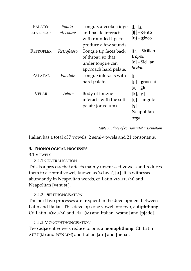| PALATO-         | Palato-     | Tongue, alveolar ridge  | $[]$ , [3]                               |
|-----------------|-------------|-------------------------|------------------------------------------|
| <b>ALVEOLAR</b> | alveolare   | and palate interact     | $[\mathfrak{t}]$ – cento                 |
|                 |             | with rounded lips to    | $\left[\frac{d}{3} - \frac{1}{2}\right]$ |
|                 |             | produce a few sounds.   |                                          |
| RETROFLEX       | Retroflesso | Tongue tip faces back   | $[tr]$ – Sicilian                        |
|                 |             | of throat, so that      | <b>tr</b> oppu                           |
|                 |             | under tongue can        | [d] – Sicilian                           |
|                 |             | approach hard palate.   | be <b>d</b> du                           |
| <b>PALATAL</b>  | Palatale    | Tongue interacts with   | [i]                                      |
|                 |             | hard palate.            | $[n]$ – gnocchi                          |
|                 |             |                         | $[\wedge]$ – gli                         |
| <b>VELAR</b>    | Velare      | Body of tongue          | [k], [g]                                 |
|                 |             | interacts with the soft | $[\eta]$ – angolo                        |
|                 |             | palate (or velum).      | $ x  -$                                  |
|                 |             |                         | Neapolitan                               |
|                 |             |                         | pago                                     |

*Table 2: Place of consonantal articulation*

Italian has a total of 7 vowels, 2 semi-vowels and 21 consonants.

# **3. PHONOLOGICAL PROCESSES**

# 3.1 VOWELS

3.1.1 CENTRALISATION

This is a process that affects mainly unstressed vowels and reduces them to a central vowel, known as 'schwa', [ǝ ]. It is witnessed abundantly in Neapolitan words, cf. Latin VESTITU(M) and Neapolitan [vǝ stitǝ ].

# 3.1.2 DIPHTHONGISATION

The next two processes are frequent in the development between Latin and Italian. This develops one vowel into two, a **diphthong**. Cf. Latin H**Ŏ**MU(M) and P**Ĕ**DE(M) and Italian [**wɔ**mo] and [p**jɛ**de].

# 3.1.3 MONOPHTHONGISATION

Two adjacent vowels reduce to one, a **monophthong**. Cf. Latin **AU**RU(M) and P**Œ**NA(M) and Italian [**ɔ**ro] and [p**e**na].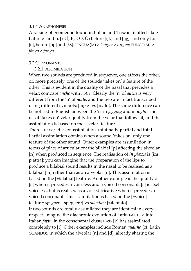#### 3.1.4 ANAPHONESIS

A raising phenomenon found in Italian and Tuscan: it affects late Latin [e] and [u]  $(<\check{I}, \bar{E}; <\bar{O}, \check{U})$  before [ŋk] and [ŋg], and only for [e], before [ɲɲ] and [ʎʎ]. LĬNGUA(M) > *léngua* > *lingua*; FŬNGU(M) > *fóngo* > *fungo*.

#### 3.2 CONSONANTS

3.2.1 ASSIMILATION

When two sounds are produced in sequence, one affects the other, or, more precisely, one of the sounds 'takes on' a feature of the other. This is evident in the quality of the nasal that precedes a velar: compare *anche* with *notte*. Clearly the 'n' of *anche* is very different from the 'n' of *notte*, and the two are in fact transcribed using different symbols: [aŋke] vs [nɔtte]. The same difference can be noticed in English between the 'n' in *jogging* and in *night*. The nasal 'takes on' velar quality from the velar that follows it, and the assimilation is based on the [+velar] feature.

There are varieties of assimilation, minimally **partial** and **total**. Partial assimilation obtains when a sound 'takes on' only one feature of the other sound. Other examples are assimilation in terms of place of articulation: the bilabial [p] affecting the alveolar [n] when produced in sequence. The realisation of *in piazza* is [i**m p**jatʦa]: you can imagine that the preparation of the lips to produce a bilabial sound results in the nasal to be realised as a bilabial [m] rather than as an alveolar [n]. This assimilation is based on the [+bilabial] feature. Another example is the quality of [s] when it precedes a voiceless and a voiced consonant: [s] is itself voiceless, but is realised as a voiced fricative when it precedes a voiced consonant. This assimilation is based on the [+voice] feature: *spegnere* [**sp**eɲɲere] vs *sdentato* [**zd**entato].

If two sounds are totally assimilated they are identical in every respect. Imagine the diachronic evolution of Latin FA**CT**UM into Italian *fatto*: in the consonantal cluster -ct- [k] has assimilated completely to [t]. Other examples include Roman *quanno* (cf. Latin QUA**ND**O), in which the alveolar [n] and [d], already sharing the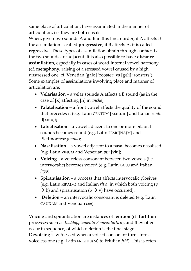same place of articulation, have assimilated in the manner of articulation, i.e. they are both nasals.

When, given two sounds A and B in this linear order, if A affects B the assimilation is called **progressive***,* if B affects A, it is called **regressive**. These types of assimilation obtain through contact, i.e. the two sounds are adjacent. It is also possible to have **distance assimilation**, especially in cases of word-internal vowel harmony (cf. **metaphony**, raising of a stressed vowel caused by a high, unstressed one, cf. Venetian [galo] 'rooster' vs [gɛli] 'roosters'). Some examples of assimilations involving place and manner of articulation are:

- **Velarisation** a velar sounds A affects a B sound (as in the case of [k] affecting [n] in *anche*);
- Palatalisation a front vowel affects the quality of the sound that precedes it (e.g. Latin CENTUM [kɛntum] and Italian *cento* [ʧ ɛnto]);
- **Labialisation** a vowel adjacent to one or more bilabial sounds becomes round (e.g. Latin FEM(I)NA(M) and Piedmontese *fomna*);
- **Nasalisation** a vowel adjacent to a nasal becomes nasalised (e.g. Latin VINUM and Venezian *vin* [vĩŋ];
- **Voicing** a voiceless consonant between two vowels (i.e. intervocalic) becomes voiced (e.g. Latin LACU and Italian *lago*);
- **Spirantisation** a process that affects intervocalic plosives (e.g. Latin RI**P**A(M) and Italian *riva*, in which both voicing (p  $\Rightarrow$  b) and spirantisation (b  $\Rightarrow$  v) have occurred);
- **Deletion** an intervocalic consonant is deleted (e.g. Latin CAU**D**AM and Venetian *coa*).

Voicing and spirantisation are instances of **lenition** (cf. **fortition** processes such as *Raddoppiamento Fonosintattico*), and they often occur in sequence, of which deletion is the final stage. **Devoicing** is witnessed when a voiced consonant turns into a voiceless one (e.g. Latin FRIGI**D**U(M) to Friulian *frêt*). This is often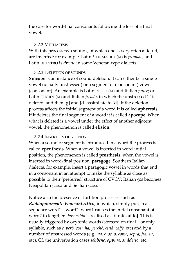the case for word-final consonants following the loss of a final vowel.

#### 3.2.2 METHATESIS

With this process two sounds, of which one is very often a liquid, are inverted: for example, Latin \*F**OR**MATICU(M) is *fromaio*, and Latin DE IN**TR**O is *drento* in some Venetan-type dialects.

#### 3.2.3 DELETION OF SOUNDS

**Sincope** is an instance of sound deletion. It can either be a single vowel (usually unstressed) or a segment of (consonant) vowel (consonant). An example is Latin PULICE(M) and Italian *pulce*; or Latin FRIG**I**DU(M) and Italian *freddo*, in which the unstressed 'i' is deleted, and then [g] and [d] assimilate to [d]. If the deletion process affects the initial segment of a word it is called **apheresis**; if it deletes the final segment of a word it is called **apocope**. When what is deleted is a vowel under the effect of another adjacent vowel, the phenomenon is called **elision**.

#### 3.2.4 INSERTION OF SOUNDS

When a sound or segment is introduced in a word the process is called **epenthesis**. When a vowel is inserted in word-initial position, the phenomenon is called **prosthesis**; when the vowel is inserted in word-final position, **paragoge**. Southern Italian dialects, for example, insert a paragogic vowel in words that end in a consonant in an attempt to make the syllable as close as possible to their 'preferred' structure of CVCV: Italian *gas* becomes Neapolitan *gassǝ* and Sicilian *gassi*.

Notice also the presence of fortition processes such as *Raddoppiamento Fonosintattico*, in which, simply put, in a sequence word1 – word2, word1 causes the initial consonant of word2 to lengthen: *farà caldo* is realised as [farak kaldo]. This is usually triggered by oxytonic words (stressed on final – or only – syllable, such as *è, però, così, ha*, *perché, città*, *caffè*, etc) and by a number of unstressed words (e.g. *ma, e, se, o, come, sopra, fra*, *su*, etc). Cf. the univerbation cases *sebbene, oppure, suddetto*, etc.